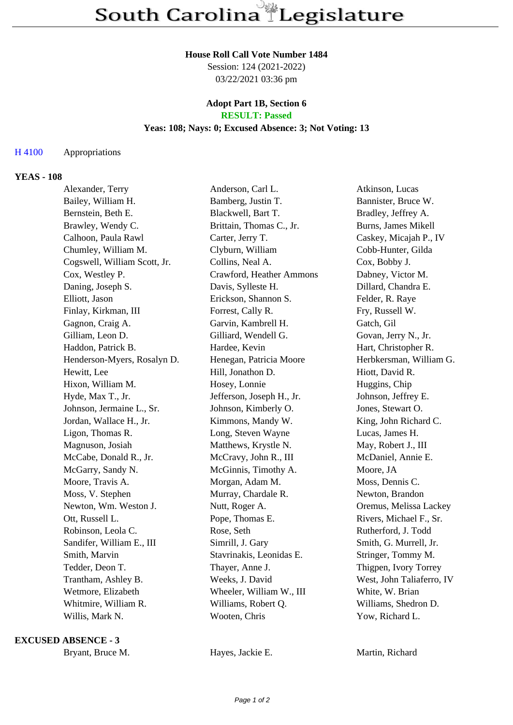#### **House Roll Call Vote Number 1484**

Session: 124 (2021-2022) 03/22/2021 03:36 pm

#### **Adopt Part 1B, Section 6 RESULT: Passed**

# **Yeas: 108; Nays: 0; Excused Absence: 3; Not Voting: 13**

## H 4100 Appropriations

## **YEAS - 108**

| Alexander, Terry             | Anderson, Carl L.         | Atkinson, Lucas           |
|------------------------------|---------------------------|---------------------------|
| Bailey, William H.           | Bamberg, Justin T.        | Bannister, Bruce W.       |
| Bernstein, Beth E.           | Blackwell, Bart T.        | Bradley, Jeffrey A.       |
| Brawley, Wendy C.            | Brittain, Thomas C., Jr.  | Burns, James Mikell       |
| Calhoon, Paula Rawl          | Carter, Jerry T.          | Caskey, Micajah P., IV    |
| Chumley, William M.          | Clyburn, William          | Cobb-Hunter, Gilda        |
| Cogswell, William Scott, Jr. | Collins, Neal A.          | Cox, Bobby J.             |
| Cox, Westley P.              | Crawford, Heather Ammons  | Dabney, Victor M.         |
| Daning, Joseph S.            | Davis, Sylleste H.        | Dillard, Chandra E.       |
| Elliott, Jason               | Erickson, Shannon S.      | Felder, R. Raye           |
| Finlay, Kirkman, III         | Forrest, Cally R.         | Fry, Russell W.           |
| Gagnon, Craig A.             | Garvin, Kambrell H.       | Gatch, Gil                |
| Gilliam, Leon D.             | Gilliard, Wendell G.      | Govan, Jerry N., Jr.      |
| Haddon, Patrick B.           | Hardee, Kevin             | Hart, Christopher R.      |
| Henderson-Myers, Rosalyn D.  | Henegan, Patricia Moore   | Herbkersman, William G.   |
| Hewitt, Lee                  | Hill, Jonathon D.         | Hiott, David R.           |
| Hixon, William M.            | Hosey, Lonnie             | Huggins, Chip             |
| Hyde, Max T., Jr.            | Jefferson, Joseph H., Jr. | Johnson, Jeffrey E.       |
| Johnson, Jermaine L., Sr.    | Johnson, Kimberly O.      | Jones, Stewart O.         |
| Jordan, Wallace H., Jr.      | Kimmons, Mandy W.         | King, John Richard C.     |
| Ligon, Thomas R.             | Long, Steven Wayne        | Lucas, James H.           |
| Magnuson, Josiah             | Matthews, Krystle N.      | May, Robert J., III       |
| McCabe, Donald R., Jr.       | McCravy, John R., III     | McDaniel, Annie E.        |
| McGarry, Sandy N.            | McGinnis, Timothy A.      | Moore, JA                 |
| Moore, Travis A.             | Morgan, Adam M.           | Moss, Dennis C.           |
| Moss, V. Stephen             | Murray, Chardale R.       | Newton, Brandon           |
| Newton, Wm. Weston J.        | Nutt, Roger A.            | Oremus, Melissa Lackey    |
| Ott, Russell L.              | Pope, Thomas E.           | Rivers, Michael F., Sr.   |
| Robinson, Leola C.           | Rose, Seth                | Rutherford, J. Todd       |
| Sandifer, William E., III    | Simrill, J. Gary          | Smith, G. Murrell, Jr.    |
| Smith, Marvin                | Stavrinakis, Leonidas E.  | Stringer, Tommy M.        |
| Tedder, Deon T.              | Thayer, Anne J.           | Thigpen, Ivory Torrey     |
| Trantham, Ashley B.          | Weeks, J. David           | West, John Taliaferro, IV |
| Wetmore, Elizabeth           | Wheeler, William W., III  | White, W. Brian           |
| Whitmire, William R.         | Williams, Robert Q.       | Williams, Shedron D.      |
| Willis, Mark N.              | Wooten, Chris             | Yow, Richard L.           |

#### **EXCUSED ABSENCE - 3**

Bryant, Bruce M. **Hayes, Jackie E.** Martin, Richard